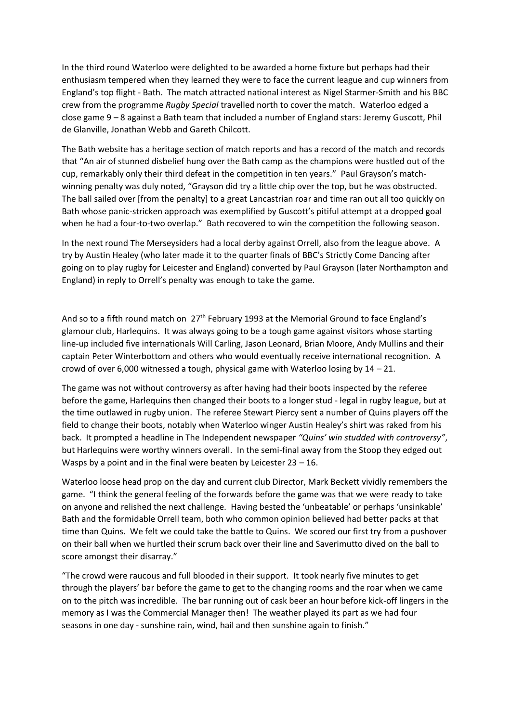In the third round Waterloo were delighted to be awarded a home fixture but perhaps had their enthusiasm tempered when they learned they were to face the current league and cup winners from England's top flight - Bath. The match attracted national interest as Nigel Starmer-Smith and his BBC crew from the programme *Rugby Special* travelled north to cover the match. Waterloo edged a close game 9 – 8 against a Bath team that included a number of England stars: Jeremy Guscott, Phil de Glanville, Jonathan Webb and Gareth Chilcott.

The Bath website has a heritage section of match reports and has a record of the match and records that "An air of stunned disbelief hung over the Bath camp as the champions were hustled out of the cup, remarkably only their third defeat in the competition in ten years." Paul Grayson's matchwinning penalty was duly noted, "Grayson did try a little chip over the top, but he was obstructed. The ball sailed over [from the penalty] to a great Lancastrian roar and time ran out all too quickly on Bath whose panic-stricken approach was exemplified by Guscott's pitiful attempt at a dropped goal when he had a four-to-two overlap." Bath recovered to win the competition the following season.

In the next round The Merseysiders had a local derby against Orrell, also from the league above. A try by Austin Healey (who later made it to the quarter finals of BBC's Strictly Come Dancing after going on to play rugby for Leicester and England) converted by Paul Grayson (later Northampton and England) in reply to Orrell's penalty was enough to take the game.

And so to a fifth round match on  $27<sup>th</sup>$  February 1993 at the Memorial Ground to face England's glamour club, Harlequins. It was always going to be a tough game against visitors whose starting line-up included five internationals Will Carling, Jason Leonard, Brian Moore, Andy Mullins and their captain Peter Winterbottom and others who would eventually receive international recognition. A crowd of over 6,000 witnessed a tough, physical game with Waterloo losing by 14 – 21.

The game was not without controversy as after having had their boots inspected by the referee before the game, Harlequins then changed their boots to a longer stud - legal in rugby league, but at the time outlawed in rugby union. The referee Stewart Piercy sent a number of Quins players off the field to change their boots, notably when Waterloo winger Austin Healey's shirt was raked from his back. It prompted a headline in The Independent newspaper *"Quins' win studded with controversy"*, but Harlequins were worthy winners overall. In the semi-final away from the Stoop they edged out Wasps by a point and in the final were beaten by Leicester  $23 - 16$ .

Waterloo loose head prop on the day and current club Director, Mark Beckett vividly remembers the game. "I think the general feeling of the forwards before the game was that we were ready to take on anyone and relished the next challenge. Having bested the 'unbeatable' or perhaps 'unsinkable' Bath and the formidable Orrell team, both who common opinion believed had better packs at that time than Quins. We felt we could take the battle to Quins. We scored our first try from a pushover on their ball when we hurtled their scrum back over their line and Saverimutto dived on the ball to score amongst their disarray."

"The crowd were raucous and full blooded in their support. It took nearly five minutes to get through the players' bar before the game to get to the changing rooms and the roar when we came on to the pitch was incredible. The bar running out of cask beer an hour before kick-off lingers in the memory as I was the Commercial Manager then! The weather played its part as we had four seasons in one day - sunshine rain, wind, hail and then sunshine again to finish."